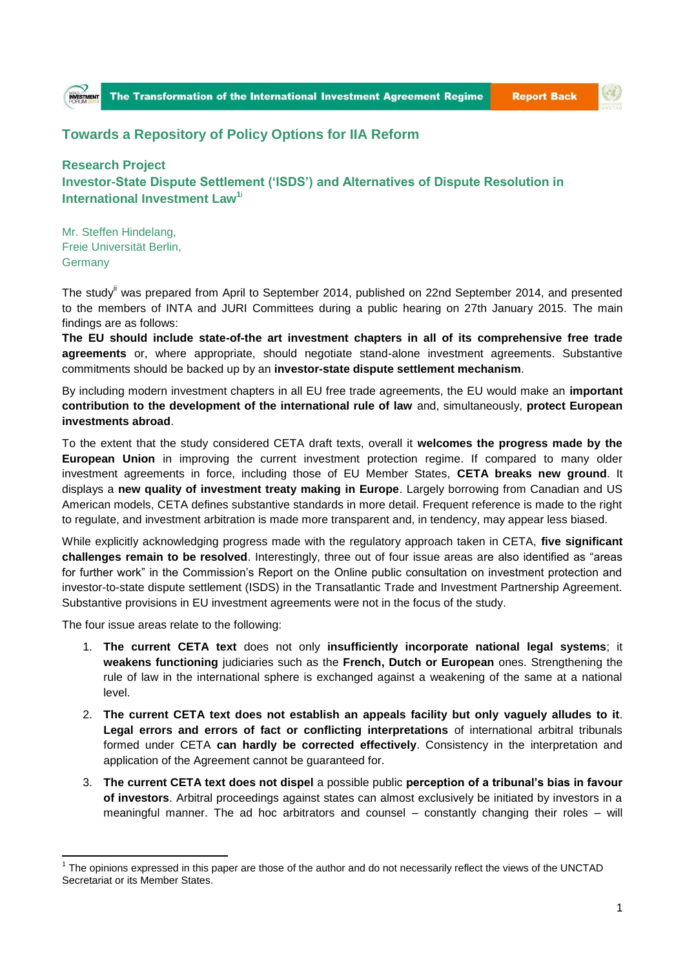



## **Towards a Repository of Policy Options for IIA Reform**

## **Research Project Investor-State Dispute Settlement ('ISDS') and Alternatives of Dispute Resolution in International Investment Law<sup>1</sup>**<sup>i</sup>

Mr. Steffen Hindelang, Freie Universität Berlin, **Germany** 

The study<sup>ii</sup> was prepared from April to September 2014, published on 22nd September 2014, and presented to the members of INTA and JURI Committees during a public hearing on 27th January 2015. The main findings are as follows:

**The EU should include state-of-the art investment chapters in all of its comprehensive free trade agreements** or, where appropriate, should negotiate stand-alone investment agreements. Substantive commitments should be backed up by an **investor-state dispute settlement mechanism**.

By including modern investment chapters in all EU free trade agreements, the EU would make an **important contribution to the development of the international rule of law** and, simultaneously, **protect European investments abroad**.

To the extent that the study considered CETA draft texts, overall it **welcomes the progress made by the European Union** in improving the current investment protection regime. If compared to many older investment agreements in force, including those of EU Member States, **CETA breaks new ground**. It displays a **new quality of investment treaty making in Europe**. Largely borrowing from Canadian and US American models, CETA defines substantive standards in more detail. Frequent reference is made to the right to regulate, and investment arbitration is made more transparent and, in tendency, may appear less biased.

While explicitly acknowledging progress made with the regulatory approach taken in CETA, **five significant challenges remain to be resolved**. Interestingly, three out of four issue areas are also identified as "areas for further work" in the Commission's Report on the Online public consultation on investment protection and investor-to-state dispute settlement (ISDS) in the Transatlantic Trade and Investment Partnership Agreement. Substantive provisions in EU investment agreements were not in the focus of the study.

The four issue areas relate to the following:

**.** 

- 1. **The current CETA text** does not only **insufficiently incorporate national legal systems**; it **weakens functioning** judiciaries such as the **French, Dutch or European** ones. Strengthening the rule of law in the international sphere is exchanged against a weakening of the same at a national level.
- 2. **The current CETA text does not establish an appeals facility but only vaguely alludes to it**. **Legal errors and errors of fact or conflicting interpretations** of international arbitral tribunals formed under CETA **can hardly be corrected effectively**. Consistency in the interpretation and application of the Agreement cannot be guaranteed for.
- 3. **The current CETA text does not dispel** a possible public **perception of a tribunal's bias in favour of investors**. Arbitral proceedings against states can almost exclusively be initiated by investors in a meaningful manner. The ad hoc arbitrators and counsel – constantly changing their roles – will

 $1$  The opinions expressed in this paper are those of the author and do not necessarily reflect the views of the UNCTAD Secretariat or its Member States.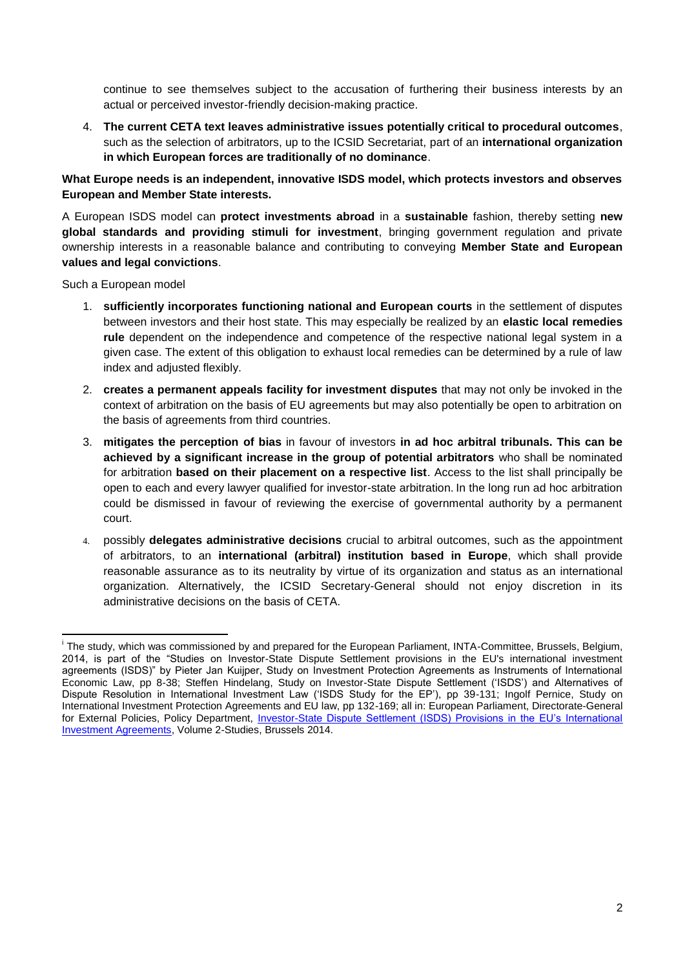continue to see themselves subject to the accusation of furthering their business interests by an actual or perceived investor-friendly decision-making practice.

4. **The current CETA text leaves administrative issues potentially critical to procedural outcomes**, such as the selection of arbitrators, up to the ICSID Secretariat, part of an **international organization in which European forces are traditionally of no dominance**.

**What Europe needs is an independent, innovative ISDS model, which protects investors and observes European and Member State interests.**

A European ISDS model can **protect investments abroad** in a **sustainable** fashion, thereby setting **new global standards and providing stimuli for investment**, bringing government regulation and private ownership interests in a reasonable balance and contributing to conveying **Member State and European values and legal convictions**.

Such a European model

- 1. **sufficiently incorporates functioning national and European courts** in the settlement of disputes between investors and their host state. This may especially be realized by an **elastic local remedies rule** dependent on the independence and competence of the respective national legal system in a given case. The extent of this obligation to exhaust local remedies can be determined by a rule of law index and adjusted flexibly.
- 2. **creates a permanent appeals facility for investment disputes** that may not only be invoked in the context of arbitration on the basis of EU agreements but may also potentially be open to arbitration on the basis of agreements from third countries.
- 3. **mitigates the perception of bias** in favour of investors **in ad hoc arbitral tribunals. This can be achieved by a significant increase in the group of potential arbitrators** who shall be nominated for arbitration **based on their placement on a respective list**. Access to the list shall principally be open to each and every lawyer qualified for investor-state arbitration. In the long run ad hoc arbitration could be dismissed in favour of reviewing the exercise of governmental authority by a permanent court.
- 4. possibly **delegates administrative decisions** crucial to arbitral outcomes, such as the appointment of arbitrators, to an **international (arbitral) institution based in Europe**, which shall provide reasonable assurance as to its neutrality by virtue of its organization and status as an international organization. Alternatively, the ICSID Secretary-General should not enjoy discretion in its administrative decisions on the basis of CETA.

 $\overline{1}$ i The study, which was commissioned by and prepared for the European Parliament, INTA-Committee, Brussels, Belgium, 2014, is part of the "Studies on Investor-State Dispute Settlement provisions in the EU's international investment agreements (ISDS)" by Pieter Jan Kuijper, Study on Investment Protection Agreements as Instruments of International Economic Law, pp 8-38; Steffen Hindelang, Study on Investor-State Dispute Settlement ('ISDS') and Alternatives of Dispute Resolution in International Investment Law ('ISDS Study for the EP'), pp 39-131; Ingolf Pernice, Study on International Investment Protection Agreements and EU law, pp 132-169; all in: European Parliament, Directorate-General for External Policies, Policy Department, [Investor-State Dispute Settlement \(ISDS\) Provisions in the EU's International](http://www.jura.fu-berlin.de/fachbereich/einrichtungen/oeffentliches-recht/lehrende/hindelangs/Studie-fuer-Europaeisches-Parlament/Volume-2-Studies.pdf?1411545557)  [Investment Agreements,](http://www.jura.fu-berlin.de/fachbereich/einrichtungen/oeffentliches-recht/lehrende/hindelangs/Studie-fuer-Europaeisches-Parlament/Volume-2-Studies.pdf?1411545557) Volume 2-Studies, Brussels 2014.